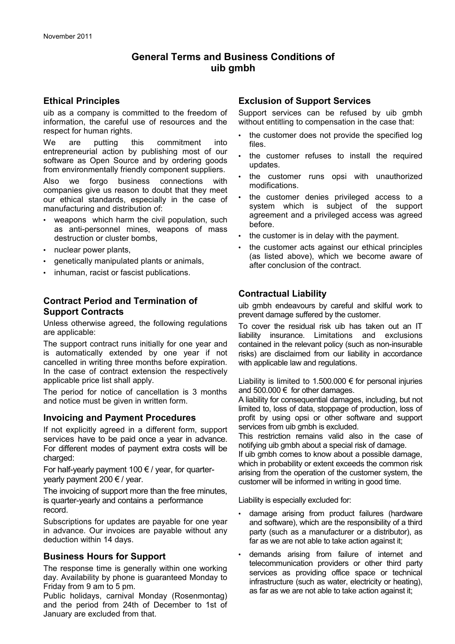# **General Terms and Business Conditions of uib gmbh**

### **Ethical Principles**

uib as a company is committed to the freedom of information, the careful use of resources and the respect for human rights.

We are putting this commitment into entrepreneurial action by publishing most of our software as Open Source and by ordering goods from environmentally friendly component suppliers.

Also we forgo business connections with companies give us reason to doubt that they meet our ethical standards, especially in the case of manufacturing and distribution of:

- weapons which harm the civil population, such as anti-personnel mines, weapons of mass destruction or cluster bombs,
- nuclear power plants,
- genetically manipulated plants or animals,
- inhuman, racist or fascist publications.

# **Contract Period and Termination of Support Contracts**

Unless otherwise agreed, the following regulations are applicable:

The support contract runs initially for one year and is automatically extended by one year if not cancelled in writing three months before expiration. In the case of contract extension the respectively applicable price list shall apply.

The period for notice of cancellation is 3 months and notice must be given in written form.

## **Invoicing and Payment Procedures**

If not explicitly agreed in a different form, support services have to be paid once a year in advance. For different modes of payment extra costs will be charged:

For half-yearly payment 100  $\epsilon$  / year, for quarteryearly payment 200  $\epsilon$  / year.

The invoicing of support more than the free minutes, is quarter-yearly and contains a performance record.

Subscriptions for updates are payable for one year in advance. Our invoices are payable without any deduction within 14 days.

## **Business Hours for Support**

The response time is generally within one working day. Availability by phone is guaranteed Monday to Friday from 9 am to 5 pm.

Public holidays, carnival Monday (Rosenmontag) and the period from 24th of December to 1st of January are excluded from that.

# **Exclusion of Support Services**

Support services can be refused by uib gmbh without entitling to compensation in the case that:

- the customer does not provide the specified log files.
- the customer refuses to install the required updates.
- the customer runs opsi with unauthorized modifications.
- the customer denies privileged access to a system which is subject of the support agreement and a privileged access was agreed before.
- the customer is in delay with the payment.
- the customer acts against our ethical principles (as listed above), which we become aware of after conclusion of the contract.

# **Contractual Liability**

uib gmbh endeavours by careful and skilful work to prevent damage suffered by the customer.

To cover the residual risk uib has taken out an IT liability insurance. Limitations and exclusions contained in the relevant policy (such as non-insurable risks) are disclaimed from our liability in accordance with applicable law and regulations.

Liability is limited to 1.500.000  $\epsilon$  for personal injuries and 500.000  $\epsilon$  for other damages.

A liability for consequential damages, including, but not limited to, loss of data, stoppage of production, loss of profit by using opsi or other software and support services from uib gmbh is excluded.

This restriction remains valid also in the case of notifying uib gmbh about a special risk of damage.

If uib gmbh comes to know about a possible damage, which in probability or extent exceeds the common risk arising from the operation of the customer system, the customer will be informed in writing in good time.

Liability is especially excluded for:

- damage arising from product failures (hardware and software), which are the responsibility of a third party (such as a manufacturer or a distributor), as far as we are not able to take action against it;
- demands arising from failure of internet and telecommunication providers or other third party services as providing office space or technical infrastructure (such as water, electricity or heating), as far as we are not able to take action against it;